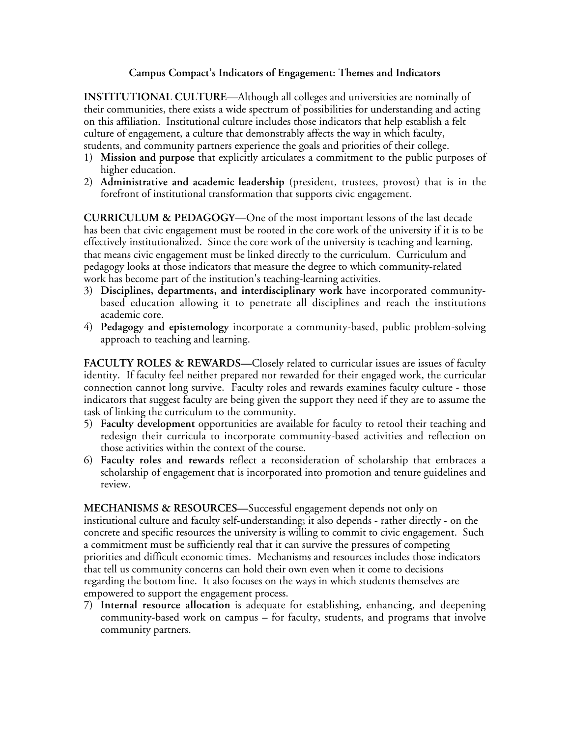## **Campus Compact's Indicators of Engagement: Themes and Indicators**

**INSTITUTIONAL CULTURE—**Although all colleges and universities are nominally of their communities, there exists a wide spectrum of possibilities for understanding and acting on this affiliation. Institutional culture includes those indicators that help establish a felt culture of engagement, a culture that demonstrably affects the way in which faculty, students, and community partners experience the goals and priorities of their college.

- 1) **Mission and purpose** that explicitly articulates a commitment to the public purposes of higher education.
- 2) **Administrative and academic leadership** (president, trustees, provost) that is in the forefront of institutional transformation that supports civic engagement.

**CURRICULUM & PEDAGOGY—**One of the most important lessons of the last decade has been that civic engagement must be rooted in the core work of the university if it is to be effectively institutionalized. Since the core work of the university is teaching and learning, that means civic engagement must be linked directly to the curriculum. Curriculum and pedagogy looks at those indicators that measure the degree to which community-related work has become part of the institution's teaching-learning activities.

- 3) **Disciplines, departments, and interdisciplinary work** have incorporated communitybased education allowing it to penetrate all disciplines and reach the institutions academic core.
- 4) **Pedagogy and epistemology** incorporate a community-based, public problem-solving approach to teaching and learning.

**FACULTY ROLES & REWARDS—**Closely related to curricular issues are issues of faculty identity. If faculty feel neither prepared nor rewarded for their engaged work, the curricular connection cannot long survive. Faculty roles and rewards examines faculty culture - those indicators that suggest faculty are being given the support they need if they are to assume the task of linking the curriculum to the community.

- 5) **Faculty development** opportunities are available for faculty to retool their teaching and redesign their curricula to incorporate community-based activities and reflection on those activities within the context of the course.
- 6) **Faculty roles and rewards** reflect a reconsideration of scholarship that embraces a scholarship of engagement that is incorporated into promotion and tenure guidelines and review.

**MECHANISMS & RESOURCES—**Successful engagement depends not only on institutional culture and faculty self-understanding; it also depends - rather directly - on the concrete and specific resources the university is willing to commit to civic engagement. Such a commitment must be sufficiently real that it can survive the pressures of competing priorities and difficult economic times. Mechanisms and resources includes those indicators that tell us community concerns can hold their own even when it come to decisions regarding the bottom line. It also focuses on the ways in which students themselves are empowered to support the engagement process.

7) **Internal resource allocation** is adequate for establishing, enhancing, and deepening community-based work on campus – for faculty, students, and programs that involve community partners.